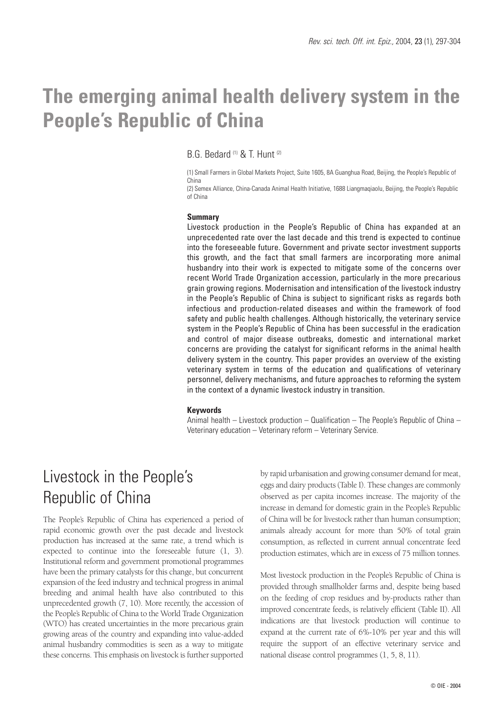# **The emerging animal health delivery system in the People's Republic of China**

B.G. Bedard (1) & T. Hunt (2)

(1) Small Farmers in Global Markets Project, Suite 1605, 8A Guanghua Road, Beijing, the People's Republic of China

(2) Semex Alliance, China-Canada Animal Health Initiative, 1688 Liangmaqiaolu, Beijing, the People's Republic of China

#### **Summary**

Livestock production in the People's Republic of China has expanded at an unprecedented rate over the last decade and this trend is expected to continue into the foreseeable future. Government and private sector investment supports this growth, and the fact that small farmers are incorporating more animal husbandry into their work is expected to mitigate some of the concerns over recent World Trade Organization accession, particularly in the more precarious grain growing regions. Modernisation and intensification of the livestock industry in the People's Republic of China is subject to significant risks as regards both infectious and production-related diseases and within the framework of food safety and public health challenges. Although historically, the veterinary service system in the People's Republic of China has been successful in the eradication and control of major disease outbreaks, domestic and international market concerns are providing the catalyst for significant reforms in the animal health delivery system in the country. This paper provides an overview of the existing veterinary system in terms of the education and qualifications of veterinary personnel, delivery mechanisms, and future approaches to reforming the system in the context of a dynamic livestock industry in transition.

### **Keywords**

Animal health – Livestock production – Qualification – The People's Republic of China – Veterinary education – Veterinary reform – Veterinary Service.

## Livestock in the People's Republic of China

The People's Republic of China has experienced a period of rapid economic growth over the past decade and livestock production has increased at the same rate, a trend which is expected to continue into the foreseeable future (1, 3). Institutional reform and government promotional programmes have been the primary catalysts for this change, but concurrent expansion of the feed industry and technical progress in animal breeding and animal health have also contributed to this unprecedented growth (7, 10). More recently, the accession of the People's Republic of China to the World Trade Organization (WTO) has created uncertainties in the more precarious grain growing areas of the country and expanding into value-added animal husbandry commodities is seen as a way to mitigate these concerns. This emphasis on livestock is further supported

by rapid urbanisation and growing consumer demand for meat, eggs and dairy products (Table I). These changes are commonly observed as per capita incomes increase. The majority of the increase in demand for domestic grain in the People's Republic of China will be for livestock rather than human consumption; animals already account for more than 50% of total grain consumption, as reflected in current annual concentrate feed production estimates, which are in excess of 75 million tonnes.

Most livestock production in the People's Republic of China is provided through smallholder farms and, despite being based on the feeding of crop residues and by-products rather than improved concentrate feeds, is relatively efficient (Table II). All indications are that livestock production will continue to expand at the current rate of 6%-10% per year and this will require the support of an effective veterinary service and national disease control programmes (1, 5, 8, 11).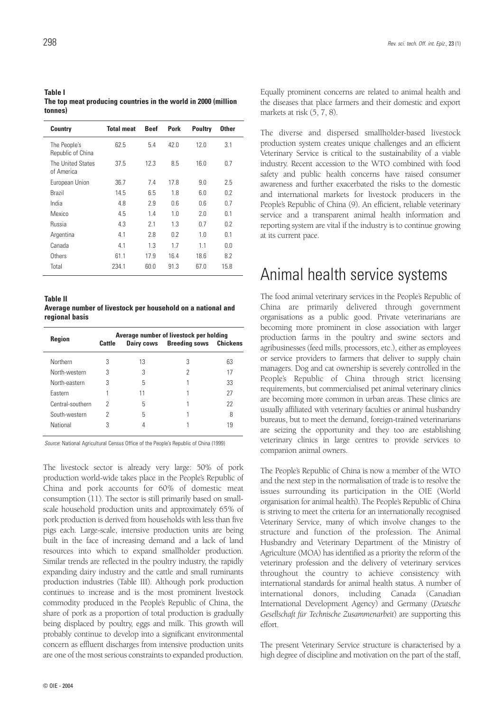| <b>Table I</b>                                                 |
|----------------------------------------------------------------|
| The top meat producing countries in the world in 2000 (million |
| tonnes)                                                        |

| <b>Country</b>                    | <b>Total meat</b> | <b>Beef</b> | <b>Pork</b> | <b>Poultry</b> | <b>Other</b>   |
|-----------------------------------|-------------------|-------------|-------------|----------------|----------------|
| The People's<br>Republic of China | 62.5              | 5.4         | 42.0        | 12.0           | 3.1            |
| The United States<br>of America   | 37.5              | 12.3        | 8.5         | 16.0           | 0.7            |
| European Union                    | 36.7              | 7.4         | 17.8        | 9.0            | 2.5            |
| Brazil                            | 14.5              | 6.5         | 1.8         | 6.0            | 0.2            |
| India                             | 4.8               | 2.9         | 0.6         | 0.6            | 0.7            |
| Mexico                            | 4.5               | 14          | 1.0         | 2.0            | 0 <sub>1</sub> |
| Russia                            | 4.3               | 2.1         | 1.3         | 0.7            | 0.2            |
| Argentina                         | 4.1               | 2.8         | 0.2         | 1.0            | 0.1            |
| Canada                            | 4.1               | 1.3         | 1.7         | 1.1            | 0.0            |
| Others                            | 61.1              | 17.9        | 16.4        | 18.6           | 8.2            |
| Total                             | 234.1             | 60.0        | 91.3        | 67.0           | 15.8           |

**Table II**

**Average number of livestock per household on a national and regional basis**

| <b>Region</b>    | Cattle | Average number of livestock per holding<br><b>Breeding sows Chickens</b> |   |    |
|------------------|--------|--------------------------------------------------------------------------|---|----|
| Northern         | 3      | 13                                                                       | 3 | 63 |
| North-western    | 3      | 3                                                                        | 2 | 17 |
| North-eastern    | 3      | 5                                                                        |   | 33 |
| Fastern          |        | 11                                                                       |   | 27 |
| Central-southern | 2      | 5                                                                        |   | 22 |
| South-western    | 2      | 5                                                                        |   | 8  |
| National         | 3      |                                                                          |   | 19 |

*Source*: National Agricultural Census Office of the People's Republic of China (1999)

The livestock sector is already very large: 50% of pork production world-wide takes place in the People's Republic of China and pork accounts for 60% of domestic meat consumption (11). The sector is still primarily based on smallscale household production units and approximately 65% of pork production is derived from households with less than five pigs each. Large-scale, intensive production units are being built in the face of increasing demand and a lack of land resources into which to expand smallholder production. Similar trends are reflected in the poultry industry, the rapidly expanding dairy industry and the cattle and small ruminants production industries (Table III). Although pork production continues to increase and is the most prominent livestock commodity produced in the People's Republic of China, the share of pork as a proportion of total production is gradually being displaced by poultry, eggs and milk. This growth will probably continue to develop into a significant environmental concern as effluent discharges from intensive production units are one of the most serious constraints to expanded production.

Equally prominent concerns are related to animal health and the diseases that place farmers and their domestic and export markets at risk (5, 7, 8).

The diverse and dispersed smallholder-based livestock production system creates unique challenges and an efficient Veterinary Service is critical to the sustainability of a viable industry. Recent accession to the WTO combined with food safety and public health concerns have raised consumer awareness and further exacerbated the risks to the domestic and international markets for livestock producers in the People's Republic of China (9). An efficient, reliable veterinary service and a transparent animal health information and reporting system are vital if the industry is to continue growing at its current pace.

### Animal health service systems

The food animal veterinary services in the People's Republic of China are primarily delivered through government organisations as a public good. Private veterinarians are becoming more prominent in close association with larger production farms in the poultry and swine sectors and agribusinesses (feed mills, processors, etc.), either as employees or service providers to farmers that deliver to supply chain managers. Dog and cat ownership is severely controlled in the People's Republic of China through strict licensing requirements, but commercialised pet animal veterinary clinics are becoming more common in urban areas. These clinics are usually affiliated with veterinary faculties or animal husbandry bureaus, but to meet the demand, foreign-trained veterinarians are seizing the opportunity and they too are establishing veterinary clinics in large centres to provide services to companion animal owners.

The People's Republic of China is now a member of the WTO and the next step in the normalisation of trade is to resolve the issues surrounding its participation in the OIE (World organisation for animal health). The People's Republic of China is striving to meet the criteria for an internationally recognised Veterinary Service, many of which involve changes to the structure and function of the profession. The Animal Husbandry and Veterinary Department of the Ministry of Agriculture (MOA) has identified as a priority the reform of the veterinary profession and the delivery of veterinary services throughout the country to achieve consistency with international standards for animal health status. A number of international donors, including Canada (Canadian International Development Agency) and Germany (*Deutsche Gesellschaft für Technische Zusammenarbeit*) are supporting this effort.

The present Veterinary Service structure is characterised by a high degree of discipline and motivation on the part of the staff,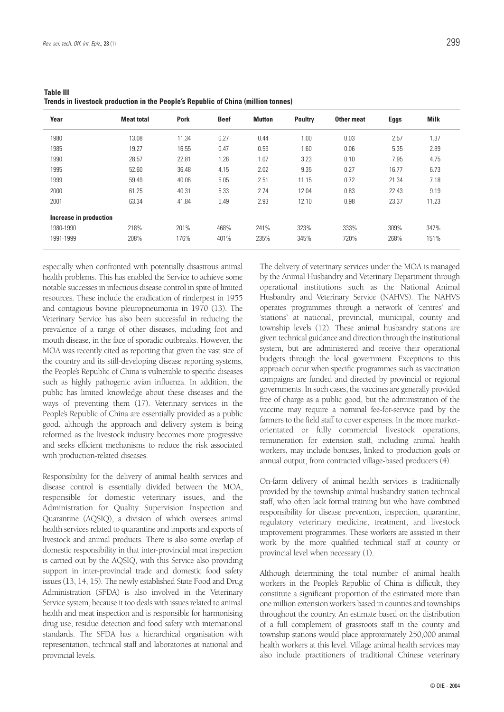| Year                   | <b>Meat total</b> | <b>Pork</b> | <b>Beef</b> | Mutton | <b>Poultry</b> | Other meat | <b>Eggs</b> | <b>Milk</b> |
|------------------------|-------------------|-------------|-------------|--------|----------------|------------|-------------|-------------|
| 1980                   | 13.08             | 11.34       | 0.27        | 0.44   | 1.00           | 0.03       | 2.57        | 1.37        |
| 1985                   | 19.27             | 16.55       | 0.47        | 0.59   | 1.60           | 0.06       | 5.35        | 2.89        |
| 1990                   | 28.57             | 22.81       | 1.26        | 1.07   | 3.23           | 0.10       | 7.95        | 4.75        |
| 1995                   | 52.60             | 36.48       | 4.15        | 2.02   | 9.35           | 0.27       | 16.77       | 6.73        |
| 1999                   | 59.49             | 40.06       | 5.05        | 2.51   | 11.15          | 0.72       | 21.34       | 7.18        |
| 2000                   | 61.25             | 40.31       | 5.33        | 2.74   | 12.04          | 0.83       | 22.43       | 9.19        |
| 2001                   | 63.34             | 41.84       | 5.49        | 2.93   | 12.10          | 0.98       | 23.37       | 11.23       |
| Increase in production |                   |             |             |        |                |            |             |             |
| 1980-1990              | 218%              | 201%        | 468%        | 241%   | 323%           | 333%       | 309%        | 347%        |
| 1991-1999              | 208%              | 176%        | 401%        | 235%   | 345%           | 720%       | 268%        | 151%        |

**Table III Trends in livestock production in the People's Republic of China (million tonnes)**

especially when confronted with potentially disastrous animal health problems. This has enabled the Service to achieve some notable successes in infectious disease control in spite of limited resources. These include the eradication of rinderpest in 1955 and contagious bovine pleuropneumonia in 1970 (13). The Veterinary Service has also been successful in reducing the prevalence of a range of other diseases, including foot and mouth disease, in the face of sporadic outbreaks. However, the MOA was recently cited as reporting that given the vast size of the country and its still-developing disease reporting systems, the People's Republic of China is vulnerable to specific diseases such as highly pathogenic avian influenza. In addition, the public has limited knowledge about these diseases and the ways of preventing them (17). Veterinary services in the People's Republic of China are essentially provided as a public good, although the approach and delivery system is being reformed as the livestock industry becomes more progressive and seeks efficient mechanisms to reduce the risk associated with production-related diseases.

Responsibility for the delivery of animal health services and disease control is essentially divided between the MOA, responsible for domestic veterinary issues, and the Administration for Quality Supervision Inspection and Quarantine (AQSIQ), a division of which oversees animal health services related to quarantine and imports and exports of livestock and animal products. There is also some overlap of domestic responsibility in that inter-provincial meat inspection is carried out by the AQSIQ, with this Service also providing support in inter-provincial trade and domestic food safety issues (13, 14, 15). The newly established State Food and Drug Administration (SFDA) is also involved in the Veterinary Service system, because it too deals with issues related to animal health and meat inspection and is responsible for harmonising drug use, residue detection and food safety with international standards. The SFDA has a hierarchical organisation with representation, technical staff and laboratories at national and provincial levels.

The delivery of veterinary services under the MOA is managed by the Animal Husbandry and Veterinary Department through operational institutions such as the National Animal Husbandry and Veterinary Service (NAHVS). The NAHVS operates programmes through a network of 'centres' and 'stations' at national, provincial, municipal, county and township levels (12). These animal husbandry stations are given technical guidance and direction through the institutional system, but are administered and receive their operational budgets through the local government. Exceptions to this approach occur when specific programmes such as vaccination campaigns are funded and directed by provincial or regional governments. In such cases, the vaccines are generally provided free of charge as a public good, but the administration of the vaccine may require a nominal fee-for-service paid by the farmers to the field staff to cover expenses. In the more marketorientated or fully commercial livestock operations, remuneration for extension staff, including animal health workers, may include bonuses, linked to production goals or annual output, from contracted village-based producers (4).

On-farm delivery of animal health services is traditionally provided by the township animal husbandry station technical staff, who often lack formal training but who have combined responsibility for disease prevention, inspection, quarantine, regulatory veterinary medicine, treatment, and livestock improvement programmes. These workers are assisted in their work by the more qualified technical staff at county or provincial level when necessary (1).

Although determining the total number of animal health workers in the People's Republic of China is difficult, they constitute a significant proportion of the estimated more than one million extension workers based in counties and townships throughout the country. An estimate based on the distribution of a full complement of grassroots staff in the county and township stations would place approximately 250,000 animal health workers at this level. Village animal health services may also include practitioners of traditional Chinese veterinary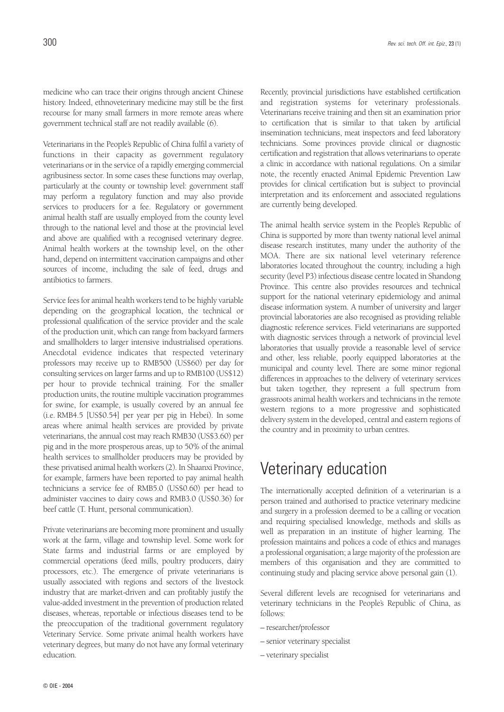medicine who can trace their origins through ancient Chinese history. Indeed, ethnoveterinary medicine may still be the first recourse for many small farmers in more remote areas where government technical staff are not readily available (6).

Veterinarians in the People's Republic of China fulfil a variety of functions in their capacity as government regulatory veterinarians or in the service of a rapidly emerging commercial agribusiness sector. In some cases these functions may overlap, particularly at the county or township level: government staff may perform a regulatory function and may also provide services to producers for a fee. Regulatory or government animal health staff are usually employed from the county level through to the national level and those at the provincial level and above are qualified with a recognised veterinary degree. Animal health workers at the township level, on the other hand, depend on intermittent vaccination campaigns and other sources of income, including the sale of feed, drugs and antibiotics to farmers.

Service fees for animal health workers tend to be highly variable depending on the geographical location, the technical or professional qualification of the service provider and the scale of the production unit, which can range from backyard farmers and smallholders to larger intensive industrialised operations. Anecdotal evidence indicates that respected veterinary professors may receive up to RMB500 (US\$60) per day for consulting services on larger farms and up to RMB100 (US\$12) per hour to provide technical training. For the smaller production units, the routine multiple vaccination programmes for swine, for example, is usually covered by an annual fee (i.e. RMB4.5 [US\$0.54] per year per pig in Hebei). In some areas where animal health services are provided by private veterinarians, the annual cost may reach RMB30 (US\$3.60) per pig and in the more prosperous areas, up to 50% of the animal health services to smallholder producers may be provided by these privatised animal health workers (2). In Shaanxi Province, for example, farmers have been reported to pay animal health technicians a service fee of RMB5.0 (US\$0.60) per head to administer vaccines to dairy cows and RMB3.0 (US\$0.36) for beef cattle (T. Hunt, personal communication).

Private veterinarians are becoming more prominent and usually work at the farm, village and township level. Some work for State farms and industrial farms or are employed by commercial operations (feed mills, poultry producers, dairy processors, etc.). The emergence of private veterinarians is usually associated with regions and sectors of the livestock industry that are market-driven and can profitably justify the value-added investment in the prevention of production related diseases, whereas, reportable or infectious diseases tend to be the preoccupation of the traditional government regulatory Veterinary Service. Some private animal health workers have veterinary degrees, but many do not have any formal veterinary education.

Recently, provincial jurisdictions have established certification and registration systems for veterinary professionals. Veterinarians receive training and then sit an examination prior to certification that is similar to that taken by artificial insemination technicians, meat inspectors and feed laboratory technicians. Some provinces provide clinical or diagnostic certification and registration that allows veterinarians to operate a clinic in accordance with national regulations. On a similar

note, the recently enacted Animal Epidemic Prevention Law provides for clinical certification but is subject to provincial

interpretation and its enforcement and associated regulations are currently being developed. The animal health service system in the People's Republic of China is supported by more than twenty national level animal disease research institutes, many under the authority of the MOA. There are six national level veterinary reference laboratories located throughout the country, including a high security (level P3) infectious disease centre located in Shandong Province. This centre also provides resources and technical support for the national veterinary epidemiology and animal disease information system. A number of university and larger provincial laboratories are also recognised as providing reliable diagnostic reference services. Field veterinarians are supported with diagnostic services through a network of provincial level laboratories that usually provide a reasonable level of service and other, less reliable, poorly equipped laboratories at the municipal and county level. There are some minor regional differences in approaches to the delivery of veterinary services but taken together, they represent a full spectrum from grassroots animal health workers and technicians in the remote western regions to a more progressive and sophisticated delivery system in the developed, central and eastern regions of the country and in proximity to urban centres.

### Veterinary education

The internationally accepted definition of a veterinarian is a person trained and authorised to practice veterinary medicine and surgery in a profession deemed to be a calling or vocation and requiring specialised knowledge, methods and skills as well as preparation in an institute of higher learning. The profession maintains and polices a code of ethics and manages a professional organisation; a large majority of the profession are members of this organisation and they are committed to continuing study and placing service above personal gain (1).

Several different levels are recognised for veterinarians and veterinary technicians in the People's Republic of China, as follows:

- *–* researcher/professor
- *–* senior veterinary specialist
- *–* veterinary specialist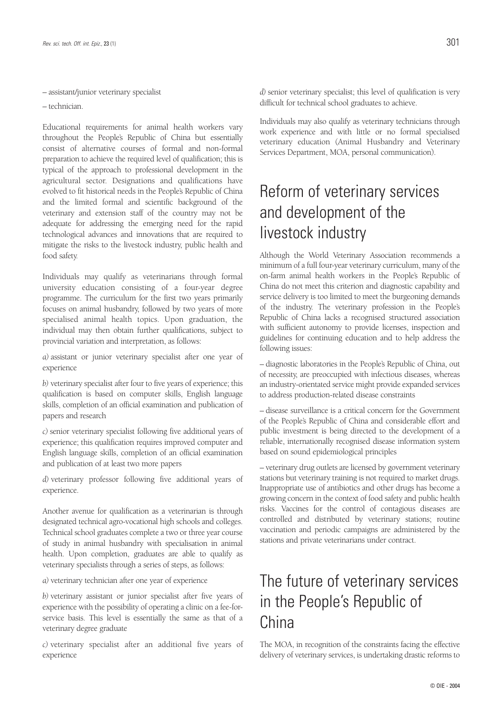*–* assistant/junior veterinary specialist

*–* technician.

Educational requirements for animal health workers vary throughout the People's Republic of China but essentially consist of alternative courses of formal and non-formal preparation to achieve the required level of qualification; this is typical of the approach to professional development in the agricultural sector. Designations and qualifications have evolved to fit historical needs in the People's Republic of China and the limited formal and scientific background of the veterinary and extension staff of the country may not be adequate for addressing the emerging need for the rapid technological advances and innovations that are required to mitigate the risks to the livestock industry, public health and food safety.

Individuals may qualify as veterinarians through formal university education consisting of a four-year degree programme. The curriculum for the first two years primarily focuses on animal husbandry, followed by two years of more specialised animal health topics. Upon graduation, the individual may then obtain further qualifications, subject to provincial variation and interpretation, as follows:

*a)* assistant or junior veterinary specialist after one year of experience

*b)* veterinary specialist after four to five years of experience; this qualification is based on computer skills, English language skills, completion of an official examination and publication of papers and research

*c)* senior veterinary specialist following five additional years of experience; this qualification requires improved computer and English language skills, completion of an official examination and publication of at least two more papers

*d)* veterinary professor following five additional years of experience.

Another avenue for qualification as a veterinarian is through designated technical agro-vocational high schools and colleges. Technical school graduates complete a two or three year course of study in animal husbandry with specialisation in animal health. Upon completion, graduates are able to qualify as veterinary specialists through a series of steps, as follows:

*a)* veterinary technician after one year of experience

*b)* veterinary assistant or junior specialist after five years of experience with the possibility of operating a clinic on a fee-forservice basis. This level is essentially the same as that of a veterinary degree graduate

*c)* veterinary specialist after an additional five years of experience

*d)* senior veterinary specialist; this level of qualification is very difficult for technical school graduates to achieve.

Individuals may also qualify as veterinary technicians through work experience and with little or no formal specialised veterinary education (Animal Husbandry and Veterinary Services Department, MOA, personal communication).

## Reform of veterinary services and development of the livestock industry

Although the World Veterinary Association recommends a minimum of a full four-year veterinary curriculum, many of the on-farm animal health workers in the People's Republic of China do not meet this criterion and diagnostic capability and service delivery is too limited to meet the burgeoning demands of the industry. The veterinary profession in the People's Republic of China lacks a recognised structured association with sufficient autonomy to provide licenses, inspection and guidelines for continuing education and to help address the following issues:

– diagnostic laboratories in the People's Republic of China, out of necessity, are preoccupied with infectious diseases, whereas an industry-orientated service might provide expanded services to address production-related disease constraints

– disease surveillance is a critical concern for the Government of the People's Republic of China and considerable effort and public investment is being directed to the development of a reliable, internationally recognised disease information system based on sound epidemiological principles

– veterinary drug outlets are licensed by government veterinary stations but veterinary training is not required to market drugs. Inappropriate use of antibiotics and other drugs has become a growing concern in the context of food safety and public health risks. Vaccines for the control of contagious diseases are controlled and distributed by veterinary stations; routine vaccination and periodic campaigns are administered by the stations and private veterinarians under contract.

## The future of veterinary services in the People's Republic of China

The MOA, in recognition of the constraints facing the effective delivery of veterinary services, is undertaking drastic reforms to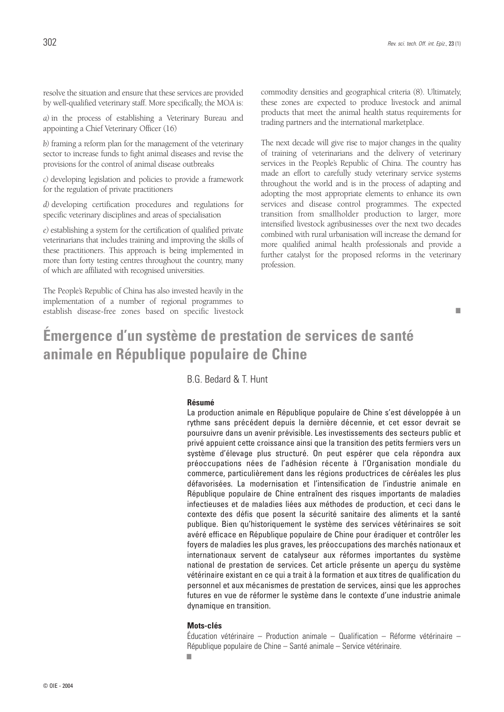resolve the situation and ensure that these services are provided by well-qualified veterinary staff. More specifically, the MOA is:

*a)* in the process of establishing a Veterinary Bureau and appointing a Chief Veterinary Officer (16)

*b)* framing a reform plan for the management of the veterinary sector to increase funds to fight animal diseases and revise the provisions for the control of animal disease outbreaks

*c)* developing legislation and policies to provide a framework for the regulation of private practitioners

*d)* developing certification procedures and regulations for specific veterinary disciplines and areas of specialisation

*e)* establishing a system for the certification of qualified private veterinarians that includes training and improving the skills of these practitioners. This approach is being implemented in more than forty testing centres throughout the country, many of which are affiliated with recognised universities.

The People's Republic of China has also invested heavily in the implementation of a number of regional programmes to establish disease-free zones based on specific livestock commodity densities and geographical criteria (8). Ultimately, these zones are expected to produce livestock and animal products that meet the animal health status requirements for trading partners and the international marketplace.

The next decade will give rise to major changes in the quality of training of veterinarians and the delivery of veterinary services in the People's Republic of China. The country has made an effort to carefully study veterinary service systems throughout the world and is in the process of adapting and adopting the most appropriate elements to enhance its own services and disease control programmes. The expected transition from smallholder production to larger, more intensified livestock agribusinesses over the next two decades combined with rural urbanisation will increase the demand for more qualified animal health professionals and provide a further catalyst for the proposed reforms in the veterinary profession.

■

### **Émergence d'un système de prestation de services de santé animale en République populaire de Chine**

B.G. Bedard & T. Hunt

#### **Résumé**

La production animale en République populaire de Chine s'est développée à un rythme sans précédent depuis la dernière décennie, et cet essor devrait se poursuivre dans un avenir prévisible. Les investissements des secteurs public et privé appuient cette croissance ainsi que la transition des petits fermiers vers un système d'élevage plus structuré. On peut espérer que cela répondra aux préoccupations nées de l'adhésion récente à l'Organisation mondiale du commerce, particulièrement dans les régions productrices de céréales les plus défavorisées. La modernisation et l'intensification de l'industrie animale en République populaire de Chine entraînent des risques importants de maladies infectieuses et de maladies liées aux méthodes de production, et ceci dans le contexte des défis que posent la sécurité sanitaire des aliments et la santé publique. Bien qu'historiquement le système des services vétérinaires se soit avéré efficace en République populaire de Chine pour éradiquer et contrôler les foyers de maladies les plus graves, les préoccupations des marchés nationaux et internationaux servent de catalyseur aux réformes importantes du système national de prestation de services. Cet article présente un aperçu du système vétérinaire existant en ce qui a trait à la formation et aux titres de qualification du personnel et aux mécanismes de prestation de services, ainsi que les approches futures en vue de réformer le système dans le contexte d'une industrie animale dynamique en transition.

#### **Mots-clés**

Éducation vétérinaire – Production animale – Qualification – Réforme vétérinaire – République populaire de Chine – Santé animale – Service vétérinaire.

■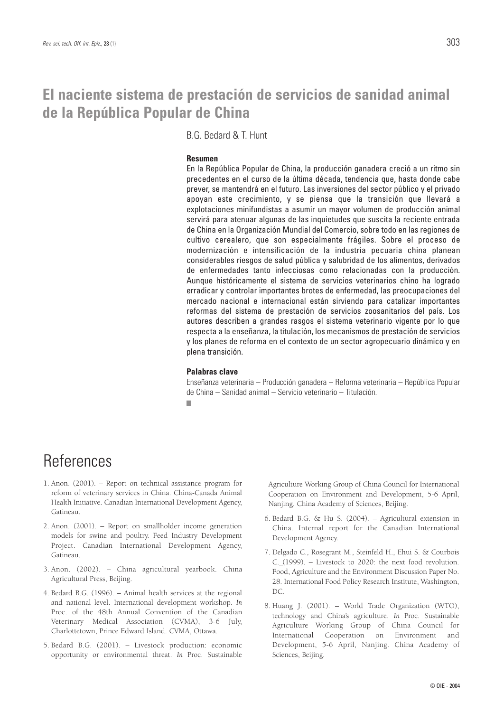### **El naciente sistema de prestación de servicios de sanidad animal de la República Popular de China**

B.G. Bedard & T. Hunt

#### **Resumen**

En la República Popular de China, la producción ganadera creció a un ritmo sin precedentes en el curso de la última década, tendencia que, hasta donde cabe prever, se mantendrá en el futuro. Las inversiones del sector público y el privado apoyan este crecimiento, y se piensa que la transición que llevará a explotaciones minifundistas a asumir un mayor volumen de producción animal servirá para atenuar algunas de las inquietudes que suscita la reciente entrada de China en la Organización Mundial del Comercio, sobre todo en las regiones de cultivo cerealero, que son especialmente frágiles. Sobre el proceso de modernización e intensificación de la industria pecuaria china planean considerables riesgos de salud pública y salubridad de los alimentos, derivados de enfermedades tanto infecciosas como relacionadas con la producción. Aunque históricamente el sistema de servicios veterinarios chino ha logrado erradicar y controlar importantes brotes de enfermedad, las preocupaciones del mercado nacional e internacional están sirviendo para catalizar importantes reformas del sistema de prestación de servicios zoosanitarios del país. Los autores describen a grandes rasgos el sistema veterinario vigente por lo que respecta a la enseñanza, la titulación, los mecanismos de prestación de servicios y los planes de reforma en el contexto de un sector agropecuario dinámico y en plena transición.

#### **Palabras clave**

Enseñanza veterinaria – Producción ganadera – Reforma veterinaria – República Popular de China – Sanidad animal – Servicio veterinario – Titulación. ■

### References

- 1. Anon. (2001). Report on technical assistance program for reform of veterinary services in China. China-Canada Animal Health Initiative. Canadian International Development Agency, Gatineau.
- 2. Anon. (2001). Report on smallholder income generation models for swine and poultry. Feed Industry Development Project. Canadian International Development Agency, Gatineau.
- 3. Anon. (2002). China agricultural yearbook. China Agricultural Press, Beijing.
- 4. Bedard B.G. (1996). Animal health services at the regional and national level. International development workshop. *In* Proc. of the 48th Annual Convention of the Canadian Veterinary Medical Association (CVMA), 3-6 July, Charlottetown, Prince Edward Island. CVMA, Ottawa.
- 5. Bedard B.G. (2001). Livestock production: economic opportunity or environmental threat. *In* Proc. Sustainable

Agriculture Working Group of China Council for International Cooperation on Environment and Development, 5-6 April, Nanjing. China Academy of Sciences, Beijing.

- 6. Bedard B.G. & Hu S. (2004). Agricultural extension in China. Internal report for the Canadian International Development Agency.
- 7. Delgado C., Rosegrant M., Steinfeld H., Ehui S. & Courbois C. (1999). – Livestock to 2020: the next food revolution. Food, Agriculture and the Environment Discussion Paper No. 28. International Food Policy Research Institute, Washington, DC.
- 8. Huang J. (2001). World Trade Organization (WTO), technology and China's agriculture. *In* Proc. Sustainable Agriculture Working Group of China Council for International Cooperation on Environment and Development, 5-6 April, Nanjing. China Academy of Sciences, Beijing.